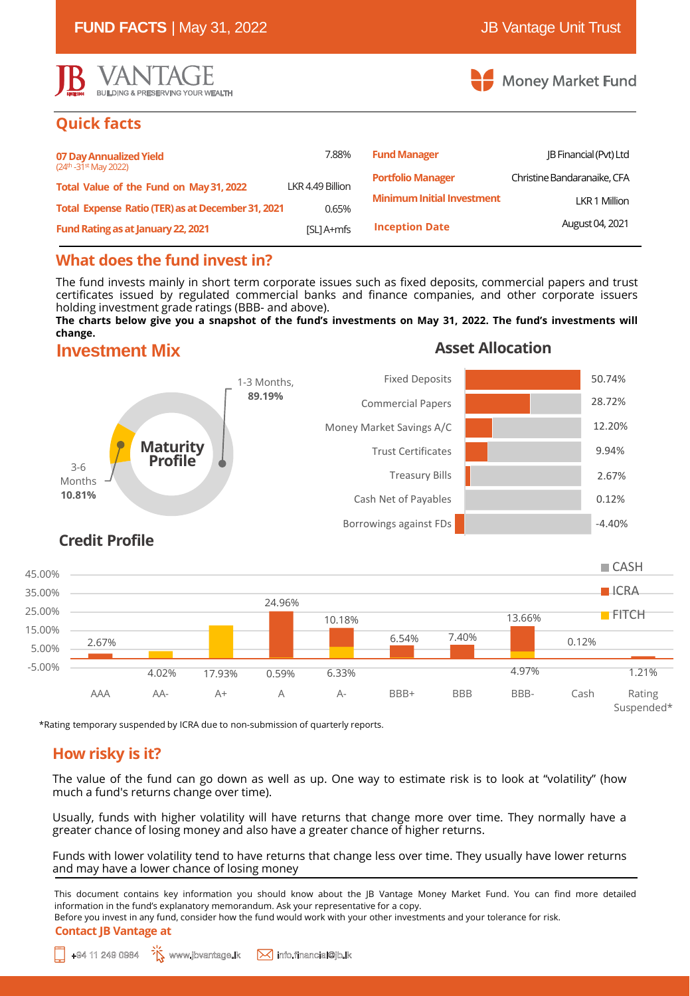

# **Quick facts**

| 07 Day Annualized Yield<br>$(24th - 31st$ May 2022)<br>Total Value of the Fund on May 31, 2022 | 7.88%            | <b>Fund Manager</b>               | <b>IB Financial (Pvt) Ltd</b> |
|------------------------------------------------------------------------------------------------|------------------|-----------------------------------|-------------------------------|
|                                                                                                | LKR 4.49 Billion | <b>Portfolio Manager</b>          | Christine Bandaranaike, CFA   |
|                                                                                                |                  | <b>Minimum Initial Investment</b> | LKR 1 Million                 |
| Total Expense Ratio (TER) as at December 31, 2021                                              | 0.65%            |                                   |                               |
| Fund Rating as at January 22, 2021                                                             | [SL] A+mfs       | <b>Inception Date</b>             | August 04, 2021               |

# **What does the fund invest in?**

The fund invests mainly in short term corporate issues such as fixed deposits, commercial papers and trust certificates issued by regulated commercial banks and finance companies, and other corporate issuers holding investment grade ratings (BBB- and above).

The charts below give you a snapshot of the fund's investments on May 31, 2022. The fund's investments will **change.**

## **Investment Mix**

## **Asset Allocation**



# **Credit Profile**

3-6 Months **10.81%**



\*Rating temporary suspended by ICRA due to non-submission of quarterly reports.

# **How risky is it?**

The value of the fund can go down as well as up. One way to estimate risk is to look at "volatility" (how much a fund's returns change over time).

Usually, funds with higher volatility will have returns that change more over time. They normally have a greater chance of losing money and also have a greater chance of higher returns.

Funds with lower volatility tend to have returns that change less over time. They usually have lower returns and may have a lower chance of losing money

This document contains key information you should know about the JB Vantage Money Market Fund. You can find more detailed information in the fund's explanatory memorandum. Ask your representative for a copy.

**Contact JB Vantage at** Before you invest in any fund, consider how the fund would work with your other investments and your tolerance for risk.

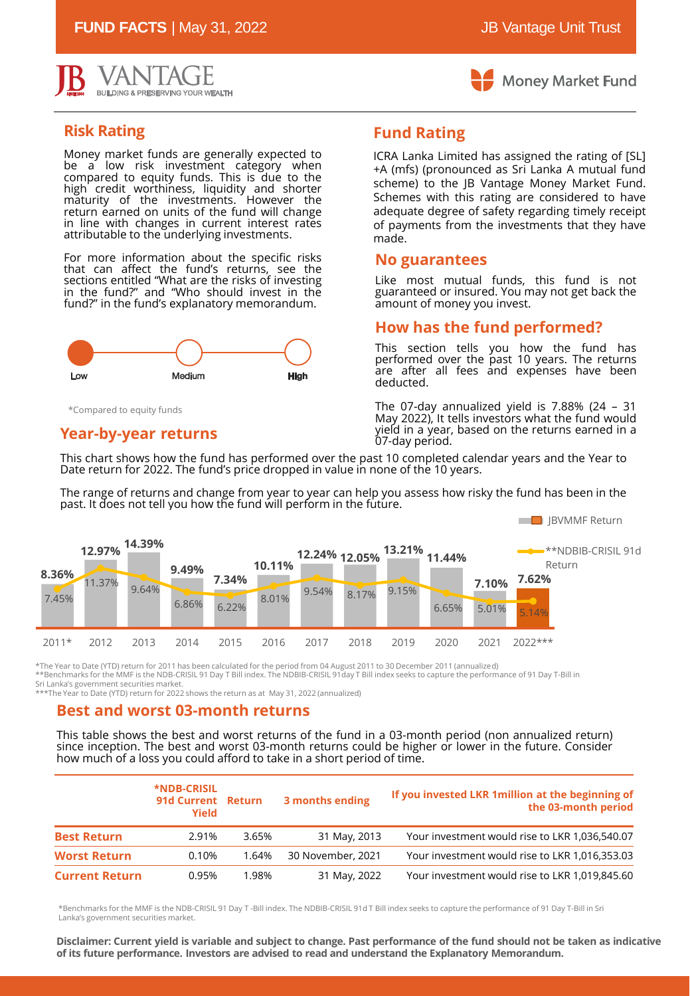**FUND FACTS** | May 31, 2022 **JB** Vantage Unit Trust





## **Risk Rating**

Money market funds are generally expected to be a low risk investment category when compared to equity funds. This is due to the high credit worthiness, liquidity and shorter maturity of the investments. However the return earned on units of the fund will change in line with changes in current interest rates attributable to the underlying investments.

For more information about the specific risks that can affect the fund's returns, see the sections entitled "What are the risks of investing in the fund?" and "Who should invest in the fund?" in the fund's explanatory memorandum.



\*Compared to equity funds

### **Year-by-year returns**

**Fund Rating**

ICRA Lanka Limited has assigned the rating of [SL] +A (mfs) (pronounced as Sri Lanka A mutual fund scheme) to the JB Vantage Money Market Fund. Schemes with this rating are considered to have adequate degree of safety regarding timely receipt of payments from the investments that they have made.

#### **No guarantees**

Like most mutual funds, this fund is not guaranteed or insured. You may not get back the amount of money you invest.

## **How has the fund performed?**

This section tells you how the fund has performed over the past 10 years. The returns are after all fees and expenses have been deducted.

The 07-day annualized yield is 7.88% (24 – 31 May 2022), It tells investors what the fund would yield in a year, based on the returns earned in a 07-day period.

This chart shows how the fund has performed over the past 10 completed calendar years and the Year to Date return for 2022. The fund's price dropped in value in none of the 10 years.

The range of returns and change from year to year can help you assess how risky the fund has been in the past. It does not tell you how the fund will perform in the future.



\*The Year to Date (YTD) return for 2011 has been calculated for the period from 04 August 2011 to 30 December 2011 (annualized) \*\*Benchmarks for the MMF is the NDB-CRISIL 91 Day T Bill index. The NDBIB-CRISIL 91day T Bill index seeks to capture the performance of 91 Day T-Bill in Sri Lanka's government securities market.

\*\*\*The Year to Date (YTD) return for 2022 shows the return as at May 31, 2022 (annualized)

#### **Best and worst 03-month returns**

This table shows the best and worst returns of the fund in a 03-month period (non annualized return) since inception. The best and worst 03-month returns could be higher or lower in the future. Consider how much of a loss you could afford to take in a short period of time.

|                       | *NDB-CRISIL<br>91d Current Return<br>Yield |       | 3 months ending   | If you invested LKR 1 million at the beginning of<br>the 03-month period |
|-----------------------|--------------------------------------------|-------|-------------------|--------------------------------------------------------------------------|
| <b>Best Return</b>    | 2.91%                                      | 3.65% | 31 May, 2013      | Your investment would rise to LKR 1,036,540.07                           |
| <b>Worst Return</b>   | 0.10%                                      | 1.64% | 30 November, 2021 | Your investment would rise to LKR 1,016,353.03                           |
| <b>Current Return</b> | 0.95%                                      | 1.98% | 31 May, 2022      | Your investment would rise to LKR 1,019,845.60                           |

\*Benchmarks for the MMF is the NDB-CRISIL 91 Day T -Bill index. The NDBIB-CRISIL 91d T Bill index seeks to capture the performance of 91 Day T-Bill in Sri Lanka's government securities market.

Disclaimer: Current yield is variable and subject to change. Past performance of the fund should not be taken as indicative **of its future performance. Investors are advised to read and understand the Explanatory Memorandum.**